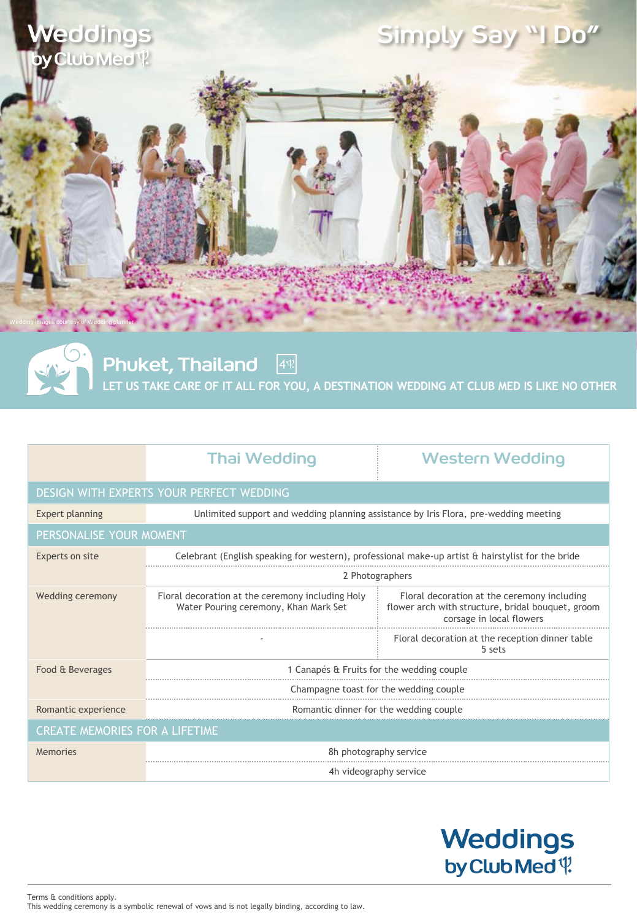

Phuket, Thailand **LET US TAKE CARE OF IT ALL FOR YOU, A DESTINATION WEDDING AT CLUB MED IS LIKE NO OTHER**  $4$ 

|                                          | <b>Thai Wedding</b>                                                                                      | <b>Western Wedding</b>                                                                                                       |
|------------------------------------------|----------------------------------------------------------------------------------------------------------|------------------------------------------------------------------------------------------------------------------------------|
| DESIGN WITH EXPERTS YOUR PERFECT WEDDING |                                                                                                          |                                                                                                                              |
| Expert planning                          | Unlimited support and wedding planning assistance by Iris Flora, pre-wedding meeting                     |                                                                                                                              |
| PERSONALISE YOUR MOMENT                  |                                                                                                          |                                                                                                                              |
| Experts on site                          | Celebrant (English speaking for western), professional make-up artist $\alpha$ hairstylist for the bride |                                                                                                                              |
|                                          | 2 Photographers                                                                                          |                                                                                                                              |
| Wedding ceremony                         | Floral decoration at the ceremony including Holy<br>Water Pouring ceremony, Khan Mark Set                | Floral decoration at the ceremony including<br>flower arch with structure, bridal bouquet, groom<br>corsage in local flowers |
|                                          |                                                                                                          | Floral decoration at the reception dinner table<br>5 sets                                                                    |
| Food & Beverages                         | 1 Canapés & Fruits for the wedding couple                                                                |                                                                                                                              |
|                                          | Champagne toast for the wedding couple                                                                   |                                                                                                                              |
| Romantic experience                      | Romantic dinner for the wedding couple                                                                   |                                                                                                                              |
| <b>CREATE MEMORIES FOR A LIFETIME</b>    |                                                                                                          |                                                                                                                              |
| Memories                                 | 8h photography service                                                                                   |                                                                                                                              |
|                                          | 4h videography service                                                                                   |                                                                                                                              |